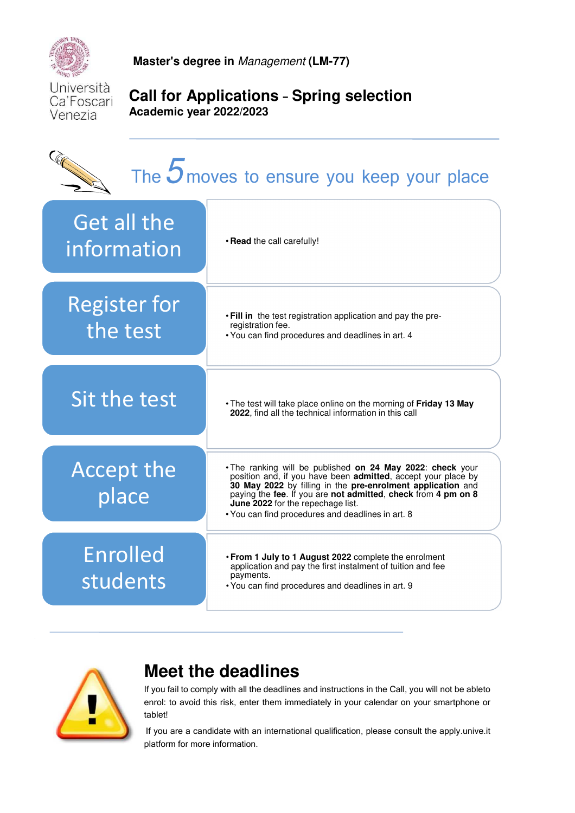

**Master's degree in** Management **(LM-77)** 

Università Ca'Foscari Venezia

## **Call for Applications** – **Spring selection Academic year 2022/2023**

# The  $5$  moves to ensure you keep your place • **Read** the call carefully! Get all the information • **Fill in** the test registration application and pay the preregistration fee. • You can find procedures and deadlines in art. 4 Register for the test • The test will take place online on the morning of **Friday 13 May 2022**, find all the technical information in this call Sit the test • The ranking will be published **on 24 May 2022**: **check** your position and, if you have been **admitted**, accept your place by **30 May 2022** by filling in the **pre-enrolment application** and paying the **fee**. If you are **not admitted**, **check** from **4 pm on 8 June 2022** for the repechage list. • You can find procedures and deadlines in art. 8 Accept the place • **From 1 July to 1 August 2022** complete the enrolment application and pay the first instalment of tuition and fee payments. • You can find procedures and deadlines in art. 9 Enrolled students



# **Meet the deadlines**

If you fail to comply with all the deadlines and instructions in the Call, you will not be ableto enrol: to avoid this risk, enter them immediately in your calendar on your smartphone or tablet!

If you are a candidate with an international qualification, please consult the apply.unive.it platform for more information.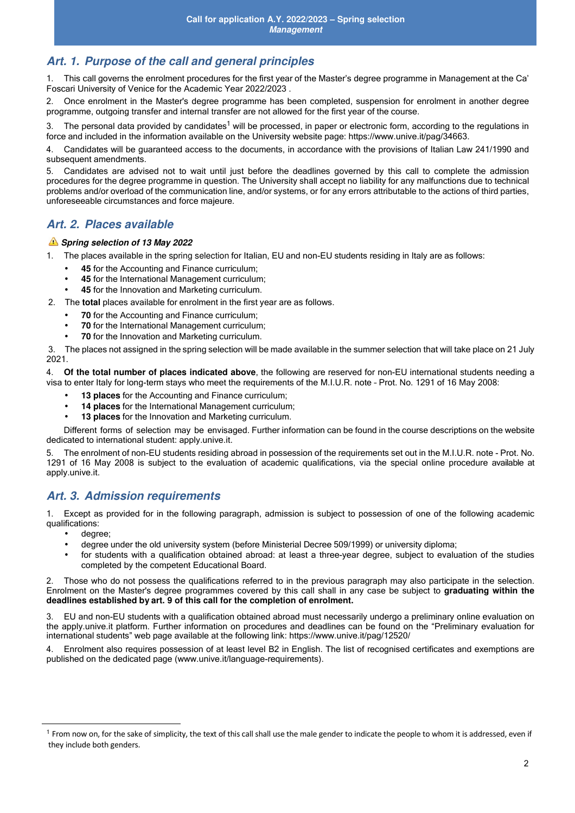## **Art. 1. Purpose of the call and general principles**

1. This call governs the enrolment procedures for the first year of the Master's degree programme in Management at the Ca' Foscari University of Venice for the Academic Year 2022/2023 .

2. Once enrolment in the Master's degree programme has been completed, suspension for enrolment in another degree programme, outgoing transfer and internal transfer are not allowed for the first year of the course.

3. The personal data provided by candidates<sup>1</sup> will be processed, in paper or electronic form, according to the regulations in force and included in the information available on the University website page: https://www.unive.it/pag/34663.

4. Candidates will be guaranteed access to the documents, in accordance with the provisions of Italian Law 241/1990 and subsequent amendments.

5. Candidates are advised not to wait until just before the deadlines governed by this call to complete the admission procedures for the degree programme in question. The University shall accept no liability for any malfunctions due to technical problems and/or overload of the communication line, and/or systems, or for any errors attributable to the actions of third parties, unforeseeable circumstances and force majeure.

## **Art. 2. Places available**

#### **Spring selection of 13 May 2022**

- 1. The places available in the spring selection for Italian, EU and non-EU students residing in Italy are as follows:
	- **45** for the Accounting and Finance curriculum;
	- **45** for the International Management curriculum;
	- **45** for the Innovation and Marketing curriculum.
- 2. The **total** places available for enrolment in the first year are as follows.
	- **70** for the Accounting and Finance curriculum;
	- **70** for the International Management curriculum;
	- **70** for the Innovation and Marketing curriculum.

3. The places not assigned in the spring selection will be made available in the summer selection that will take place on 21 July 2021.

4. **Of the total number of places indicated above**, the following are reserved for non-EU international students needing a visa to enter Italy for long-term stays who meet the requirements of the M.I.U.R. note – Prot. No. 1291 of 16 May 2008:

- 13 places for the Accounting and Finance curriculum;
- **14 places** for the International Management curriculum;
- **13 places** for the Innovation and Marketing curriculum.

Different forms of selection may be envisaged. Further information can be found in the course descriptions on the website dedicated to international student: apply.unive.it.

5. The enrolment of non-EU students residing abroad in possession of the requirements set out in the M.I.U.R. note - Prot. No. 1291 of 16 May 2008 is subject to the evaluation of academic qualifications, via the special online procedure available at apply.unive.it.

## **Art. 3. Admission requirements**

1. Except as provided for in the following paragraph, admission is subject to possession of one of the following academic qualifications:

degree;

 $\overline{a}$ 

- degree under the old university system (before Ministerial Decree 509/1999) or university diploma;
- for students with a qualification obtained abroad: at least a three-year degree, subject to evaluation of the studies completed by the competent Educational Board.

2. Those who do not possess the qualifications referred to in the previous paragraph may also participate in the selection. Enrolment on the Master's degree programmes covered by this call shall in any case be subject to **graduating within the deadlines established by art. 9 of this call for the completion of enrolment.** 

3. EU and non-EU students with a qualification obtained abroad must necessarily undergo a preliminary online evaluation on the apply.unive.it platform. Further information on procedures and deadlines can be found on the "Preliminary evaluation for international students" web page available at the following link: https://www.unive.it/pag/12520/

4. Enrolment also requires possession of at least level B2 in English. The list of recognised certificates and exemptions are published on the dedicated page (www.unive.it/language-requirements).

<sup>&</sup>lt;sup>1</sup> From now on, for the sake of simplicity, the text of this call shall use the male gender to indicate the people to whom it is addressed, even if they include both genders.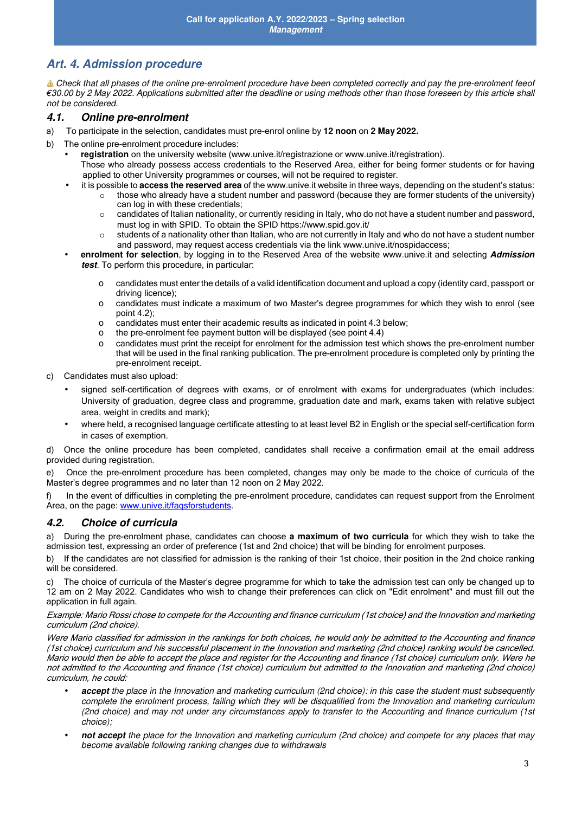## **Art. 4. Admission procedure**

Check that all phases of the online pre-enrolment procedure have been completed correctly and pay the pre-enrolment feeof €30.00 by 2 May 2022. Applications submitted after the deadline or using methods other than those foreseen by this article shall not be considered.

#### **4.1. Online pre-enrolment**

- a) To participate in the selection, candidates must pre-enrol online by **12 noon** on **2 May 2022.**
- b) The online pre-enrolment procedure includes:
	- **registration** on the university website (www.unive.it/registrazione or www.unive.it/registration).
	- Those who already possess access credentials to the Reserved Area, either for being former students or for having applied to other University programmes or courses, will not be required to register.
		- it is possible to **access the reserved area** of the www.unive.it website in three ways, depending on the student's status:  $\circ$  those who already have a student number and password (because they are former students of the university) can log in with these credentials;
			- $\circ$  candidates of Italian nationality, or currently residing in Italy, who do not have a student number and password, must log in with SPID. To obtain the SPID https://www.spid.gov.it/
			- $\circ$  students of a nationality other than Italian, who are not currently in Italy and who do not have a student number and password, may request access credentials via the link www.unive.it/nospidaccess;
	- **enrolment for selection**, by logging in to the Reserved Area of the website www.unive.it and selecting **Admission test**. To perform this procedure, in particular:
		- o candidates must enter the details of a valid identification document and upload a copy (identity card, passport or driving licence);
		- o candidates must indicate a maximum of two Master's degree programmes for which they wish to enrol (see point 4.2);
		- o candidates must enter their academic results as indicated in point 4.3 below;
		- o the pre-enrolment fee payment button will be displayed (see point 4.4)
		- o candidates must print the receipt for enrolment for the admission test which shows the pre-enrolment number that will be used in the final ranking publication. The pre-enrolment procedure is completed only by printing the pre-enrolment receipt.
- c) Candidates must also upload:
	- signed self-certification of degrees with exams, or of enrolment with exams for undergraduates (which includes: University of graduation, degree class and programme, graduation date and mark, exams taken with relative subject area, weight in credits and mark);
	- where held, a recognised language certificate attesting to at least level B2 in English or the special self-certification form in cases of exemption.

d) Once the online procedure has been completed, candidates shall receive a confirmation email at the email address provided during registration.

e) Once the pre-enrolment procedure has been completed, changes may only be made to the choice of curricula of the Master's degree programmes and no later than 12 noon on 2 May 2022.

f) In the event of difficulties in completing the pre-enrolment procedure, candidates can request support from the Enrolment Area, on the page: www.unive.it/faqsforstudents.

#### **4.2. Choice of curricula**

a) During the pre-enrolment phase, candidates can choose **a maximum of two curricula** for which they wish to take the admission test, expressing an order of preference (1st and 2nd choice) that will be binding for enrolment purposes.

b) If the candidates are not classified for admission is the ranking of their 1st choice, their position in the 2nd choice ranking will be considered.

c) The choice of curricula of the Master's degree programme for which to take the admission test can only be changed up to 12 am on 2 May 2022. Candidates who wish to change their preferences can click on "Edit enrolment" and must fill out the application in full again.

Example: Mario Rossi chose to compete for the Accounting and finance curriculum (1st choice) and the Innovation and marketing curriculum (2nd choice).

Were Mario classified for admission in the rankings for both choices, he would only be admitted to the Accounting and finance (1st choice) curriculum and his successful placement in the Innovation and marketing (2nd choice) ranking would be cancelled. Mario would then be able to accept the place and register for the Accounting and finance (1st choice) curriculum only. Were he not admitted to the Accounting and finance (1st choice) curriculum but admitted to the Innovation and marketing (2nd choice) curriculum, he could:

- **accept** the place in the Innovation and marketing curriculum (2nd choice): in this case the student must subsequently complete the enrolment process, failing which they will be disqualified from the Innovation and marketing curriculum (2nd choice) and may not under any circumstances apply to transfer to the Accounting and finance curriculum (1st choice);
- **not accept** the place for the Innovation and marketing curriculum (2nd choice) and compete for any places that may become available following ranking changes due to withdrawals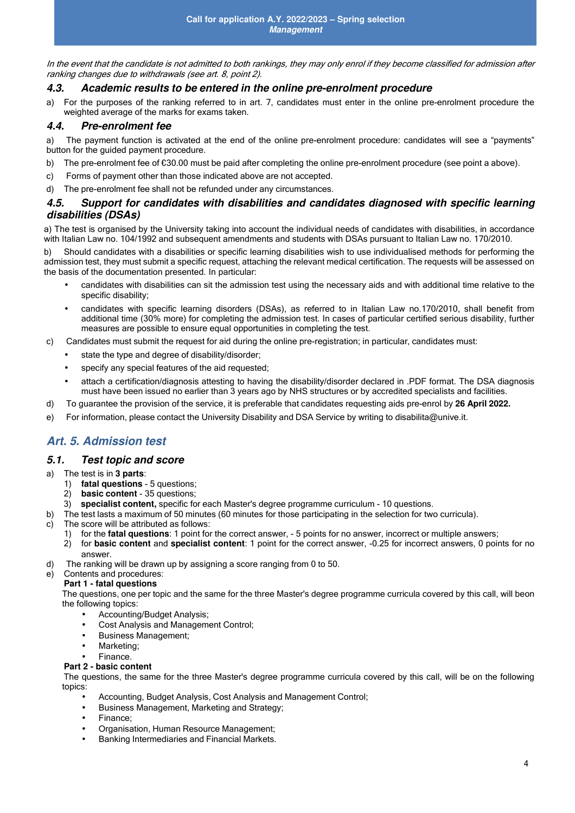In the event that the candidate is not admitted to both rankings, they may only enrol if they become classified for admission after ranking changes due to withdrawals (see art. 8, point 2).

#### **4.3. Academic results to be entered in the online pre-enrolment procedure**

a) For the purposes of the ranking referred to in art. 7, candidates must enter in the online pre-enrolment procedure the weighted average of the marks for exams taken.

#### **4.4. Pre-enrolment fee**

a) The payment function is activated at the end of the online pre-enrolment procedure: candidates will see a "payments" button for the guided payment procedure.

- b) The pre-enrolment fee of  $\epsilon$ 30.00 must be paid after completing the online pre-enrolment procedure (see point a above).
- c) Forms of payment other than those indicated above are not accepted.
- d) The pre-enrolment fee shall not be refunded under any circumstances.

#### **4.5. Support for candidates with disabilities and candidates diagnosed with specific learning disabilities (DSAs)**

a) The test is organised by the University taking into account the individual needs of candidates with disabilities, in accordance with Italian Law no. 104/1992 and subsequent amendments and students with DSAs pursuant to Italian Law no. 170/2010.

b) Should candidates with a disabilities or specific learning disabilities wish to use individualised methods for performing the admission test, they must submit a specific request, attaching the relevant medical certification. The requests will be assessed on the basis of the documentation presented. In particular:

- candidates with disabilities can sit the admission test using the necessary aids and with additional time relative to the specific disability;
- candidates with specific learning disorders (DSAs), as referred to in Italian Law no.170/2010, shall benefit from additional time (30% more) for completing the admission test. In cases of particular certified serious disability, further measures are possible to ensure equal opportunities in completing the test.
- c) Candidates must submit the request for aid during the online pre-registration; in particular, candidates must:
	- state the type and degree of disability/disorder:
	- specify any special features of the aid requested;
	- attach a certification/diagnosis attesting to having the disability/disorder declared in .PDF format. The DSA diagnosis must have been issued no earlier than 3 years ago by NHS structures or by accredited specialists and facilities.
- d) To guarantee the provision of the service, it is preferable that candidates requesting aids pre-enrol by **26 April 2022.**
- e) For information, please contact the University Disability and DSA Service by writing to disabilita@unive.it.

## **Art. 5. Admission test**

#### **5.1. Test topic and score**

- a) The test is in **3 parts**:
	- 1) **fatal questions 5 questions;**<br>2) **basic content 35 questions:**
	- 2) **basic content** 35 questions;<br>3) **specialist content**, specific fo
	- 3) **specialist content,** specific for each Master's degree programme curriculum 10 questions.
- b) The test lasts a maximum of 50 minutes (60 minutes for those participating in the selection for two curricula).
- c) The score will be attributed as follows:
	- 1) for the **fatal questions**: 1 point for the correct answer, 5 points for no answer, incorrect or multiple answers;<br>2) for **basic content** and **specialist content**: 1 point for the correct answer, -0.25 for incorrect an
	- 2) for **basic content** and **specialist content**: 1 point for the correct answer, -0.25 for incorrect answers, 0 points for no answer.
- d) The ranking will be drawn up by assigning a score ranging from 0 to 50.

#### e) Contents and procedures:

#### **Part 1 - fatal questions**

The questions, one per topic and the same for the three Master's degree programme curricula covered by this call, will beon the following topics:

- Accounting/Budget Analysis;
- Cost Analysis and Management Control;
- Business Management;
- Marketing; • Finance.

#### **Part 2 - basic content**

The questions, the same for the three Master's degree programme curricula covered by this call, will be on the following topics:

- Accounting, Budget Analysis, Cost Analysis and Management Control;
- Business Management, Marketing and Strategy;
- Finance;
- Organisation, Human Resource Management;
- Banking Intermediaries and Financial Markets.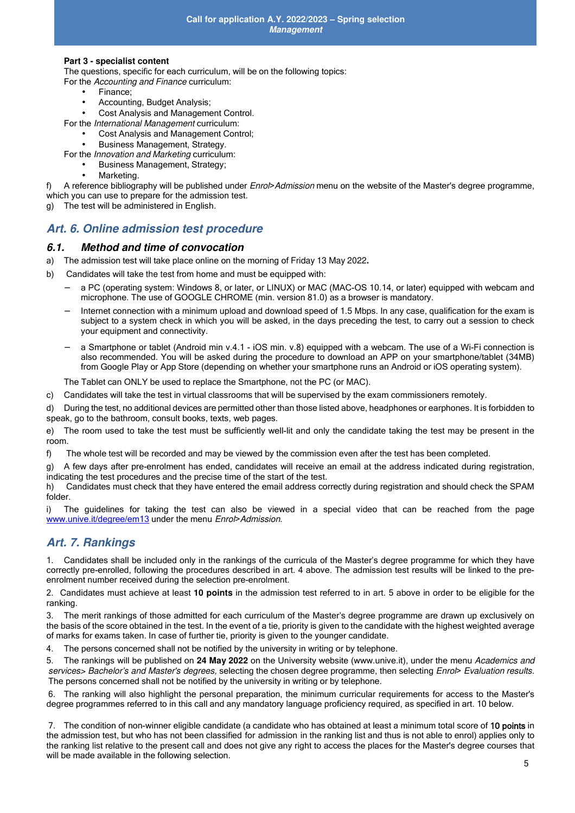#### **Part 3 - specialist content**

The questions, specific for each curriculum, will be on the following topics:

For the Accounting and Finance curriculum:

- Finance:
- Accounting, Budget Analysis;
- Cost Analysis and Management Control.

For the International Management curriculum:

- Cost Analysis and Management Control;
- Business Management, Strategy.

For the Innovation and Marketing curriculum:

• Business Management, Strategy;

Marketing.

f) A reference bibliography will be published under Enrol>Admission menu on the website of the Master's degree programme, which you can use to prepare for the admission test.

The test will be administered in English.

### **Art. 6. Online admission test procedure**

#### **6.1. Method and time of convocation**

- a) The admission test will take place online on the morning of Friday 13 May 2022**.**
- b) Candidates will take the test from home and must be equipped with:
	- − a PC (operating system: Windows 8, or later, or LINUX) or MAC (MAC-OS 10.14, or later) equipped with webcam and microphone. The use of GOOGLE CHROME (min. version 81.0) as a browser is mandatory.
	- Internet connection with a minimum upload and download speed of 1.5 Mbps. In any case, qualification for the exam is subject to a system check in which you will be asked, in the days preceding the test, to carry out a session to check your equipment and connectivity.
	- − a Smartphone or tablet (Android min v.4.1 iOS min. v.8) equipped with a webcam. The use of a Wi-Fi connection is also recommended. You will be asked during the procedure to download an APP on your smartphone/tablet (34MB) from Google Play or App Store (depending on whether your smartphone runs an Android or iOS operating system).

The Tablet can ONLY be used to replace the Smartphone, not the PC (or MAC).

c) Candidates will take the test in virtual classrooms that will be supervised by the exam commissioners remotely.

d) During the test, no additional devices are permitted other than those listed above, headphones or earphones. It is forbidden to speak, go to the bathroom, consult books, texts, web pages.

e) The room used to take the test must be sufficiently well-lit and only the candidate taking the test may be present in the room.

f) The whole test will be recorded and may be viewed by the commission even after the test has been completed.

g) A few days after pre-enrolment has ended, candidates will receive an email at the address indicated during registration, indicating the test procedures and the precise time of the start of the test.

h) Candidates must check that they have entered the email address correctly during registration and should check the SPAM folder.

i) The guidelines for taking the test can also be viewed in a special video that can be reached from the page www.unive.it/degree/em13 under the menu Enrol>Admission.

#### **Art. 7. Rankings**

1. Candidates shall be included only in the rankings of the curricula of the Master's degree programme for which they have correctly pre-enrolled, following the procedures described in art. 4 above. The admission test results will be linked to the preenrolment number received during the selection pre-enrolment.

2. Candidates must achieve at least **10 points** in the admission test referred to in art. 5 above in order to be eligible for the ranking.

3. The merit rankings of those admitted for each curriculum of the Master's degree programme are drawn up exclusively on the basis of the score obtained in the test. In the event of a tie, priority is given to the candidate with the highest weighted average of marks for exams taken. In case of further tie, priority is given to the younger candidate.

4. The persons concerned shall not be notified by the university in writing or by telephone.

5. The rankings will be published on **24 May 2022** on the University website (www.unive.it), under the menu Academics and services> Bachelor's and Master's degrees, selecting the chosen degree programme, then selecting Enrol> Evaluation results. The persons concerned shall not be notified by the university in writing or by telephone.

6. The ranking will also highlight the personal preparation, the minimum curricular requirements for access to the Master's degree programmes referred to in this call and any mandatory language proficiency required, as specified in art. 10 below.

7. The condition of non-winner eligible candidate (a candidate who has obtained at least a minimum total score of 10 points in the admission test, but who has not been classified for admission in the ranking list and thus is not able to enrol) applies only to the ranking list relative to the present call and does not give any right to access the places for the Master's degree courses that will be made available in the following selection.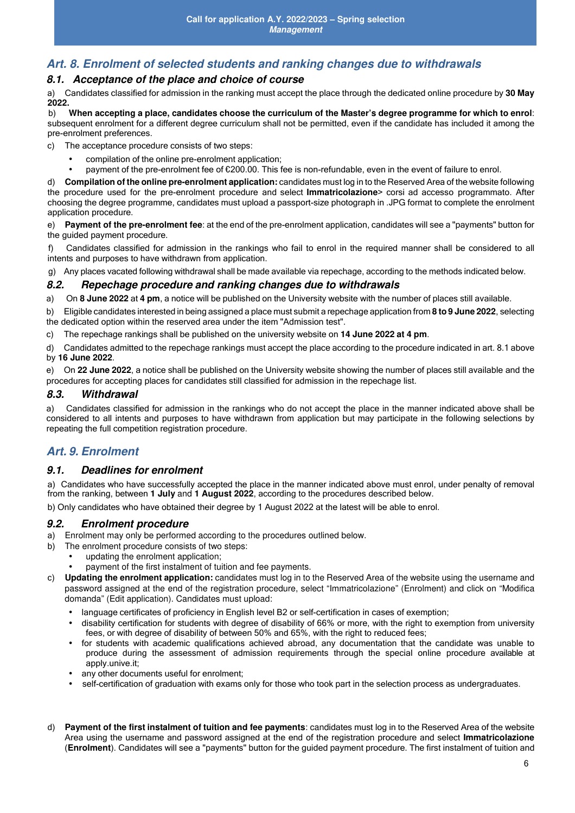## **Art. 8. Enrolment of selected students and ranking changes due to withdrawals**

#### **8.1. Acceptance of the place and choice of course**

a) Candidates classified for admission in the ranking must accept the place through the dedicated online procedure by **30 May 2022.** 

b) **When accepting a place, candidates choose the curriculum of the Master's degree programme for which to enrol**: subsequent enrolment for a different degree curriculum shall not be permitted, even if the candidate has included it among the pre-enrolment preferences.

c) The acceptance procedure consists of two steps:

- compilation of the online pre-enrolment application;
- payment of the pre-enrolment fee of €200.00. This fee is non-refundable, even in the event of failure to enrol.

d) **Compilation of the online pre-enrolment application:** candidates must log in to the Reserved Area of the website following the procedure used for the pre-enrolment procedure and select **Immatricolazione**> corsi ad accesso programmato. After choosing the degree programme, candidates must upload a passport-size photograph in .JPG format to complete the enrolment application procedure.

e) **Payment of the pre-enrolment fee**: at the end of the pre-enrolment application, candidates will see a "payments" button for the guided payment procedure.

f) Candidates classified for admission in the rankings who fail to enrol in the required manner shall be considered to all intents and purposes to have withdrawn from application.

g) Any places vacated following withdrawal shall be made available via repechage, according to the methods indicated below.

#### **8.2. Repechage procedure and ranking changes due to withdrawals**

a) On **8 June 2022** at **4 pm**, a notice will be published on the University website with the number of places still available.

b) Eligible candidates interested in being assigned a place must submit a repechage application from **8 to 9 June 2022**, selecting the dedicated option within the reserved area under the item "Admission test".

c) The repechage rankings shall be published on the university website on **14 June 2022 at 4 pm**.

d) Candidates admitted to the repechage rankings must accept the place according to the procedure indicated in art. 8.1 above by **16 June 2022**.

e) On **22 June 2022**, a notice shall be published on the University website showing the number of places still available and the procedures for accepting places for candidates still classified for admission in the repechage list.

#### **8.3. Withdrawal**

a) Candidates classified for admission in the rankings who do not accept the place in the manner indicated above shall be considered to all intents and purposes to have withdrawn from application but may participate in the following selections by repeating the full competition registration procedure.

#### **Art. 9. Enrolment**

#### **9.1. Deadlines for enrolment**

a) Candidates who have successfully accepted the place in the manner indicated above must enrol, under penalty of removal from the ranking, between **1 July** and **1 August 2022**, according to the procedures described below.

b) Only candidates who have obtained their degree by 1 August 2022 at the latest will be able to enrol.

#### **9.2. Enrolment procedure**

a) Enrolment may only be performed according to the procedures outlined below.

- b) The enrolment procedure consists of two steps:
	- updating the enrolment application;
	- payment of the first instalment of tuition and fee payments.
- c) **Updating the enrolment application:** candidates must log in to the Reserved Area of the website using the username and password assigned at the end of the registration procedure, select "Immatricolazione" (Enrolment) and click on "Modifica domanda" (Edit application). Candidates must upload:
	- language certificates of proficiency in English level B2 or self-certification in cases of exemption;
	- disability certification for students with degree of disability of 66% or more, with the right to exemption from university fees, or with degree of disability of between 50% and 65%, with the right to reduced fees;
	- for students with academic qualifications achieved abroad, any documentation that the candidate was unable to produce during the assessment of admission requirements through the special online procedure available at apply.unive.it;
	- any other documents useful for enrolment:
	- self-certification of graduation with exams only for those who took part in the selection process as undergraduates.
- d) **Payment of the first instalment of tuition and fee payments**: candidates must log in to the Reserved Area of the website Area using the username and password assigned at the end of the registration procedure and select **Immatricolazione**  (**Enrolment**). Candidates will see a "payments" button for the guided payment procedure. The first instalment of tuition and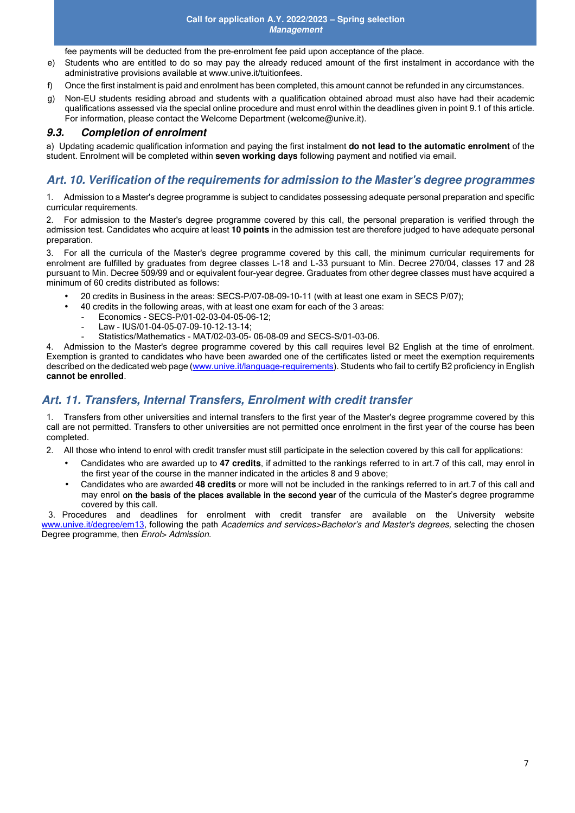fee payments will be deducted from the pre-enrolment fee paid upon acceptance of the place.

- e) Students who are entitled to do so may pay the already reduced amount of the first instalment in accordance with the administrative provisions available at www.unive.it/tuitionfees.
- f) Once the first instalment is paid and enrolment has been completed, this amount cannot be refunded in any circumstances.
- g) Non-EU students residing abroad and students with a qualification obtained abroad must also have had their academic qualifications assessed via the special online procedure and must enrol within the deadlines given in point 9.1 of this article. For information, please contact the Welcome Department (welcome@unive.it).

#### **9.3. Completion of enrolment**

a) Updating academic qualification information and paying the first instalment **do not lead to the automatic enrolment** of the student. Enrolment will be completed within **seven working days** following payment and notified via email.

## **Art. 10. Verification of the requirements for admission to the Master's degree programmes**

1. Admission to a Master's degree programme is subject to candidates possessing adequate personal preparation and specific curricular requirements.

2. For admission to the Master's degree programme covered by this call, the personal preparation is verified through the admission test. Candidates who acquire at least **10 points** in the admission test are therefore judged to have adequate personal preparation.

3. For all the curricula of the Master's degree programme covered by this call, the minimum curricular requirements for enrolment are fulfilled by graduates from degree classes L-18 and L-33 pursuant to Min. Decree 270/04, classes 17 and 28 pursuant to Min. Decree 509/99 and or equivalent four-year degree. Graduates from other degree classes must have acquired a minimum of 60 credits distributed as follows:

- 20 credits in Business in the areas: SECS-P/07-08-09-10-11 (with at least one exam in SECS P/07);
	- 40 credits in the following areas, with at least one exam for each of the 3 areas:
		- Economics SECS-P/01-02-03-04-05-06-12;
		- Law IUS/01-04-05-07-09-10-12-13-14;
		- Statistics/Mathematics MAT/02-03-05- 06-08-09 and SECS-S/01-03-06.

4. Admission to the Master's degree programme covered by this call requires level B2 English at the time of enrolment. Exemption is granted to candidates who have been awarded one of the certificates listed or meet the exemption requirements described on the dedicated web page (www.unive.it/language-requirements). Students who fail to certify B2 proficiency in English **cannot be enrolled**.

## **Art. 11. Transfers, Internal Transfers, Enrolment with credit transfer**

1. Transfers from other universities and internal transfers to the first year of the Master's degree programme covered by this call are not permitted. Transfers to other universities are not permitted once enrolment in the first year of the course has been completed.

2. All those who intend to enrol with credit transfer must still participate in the selection covered by this call for applications:

- Candidates who are awarded up to **47 credits**, if admitted to the rankings referred to in art.7 of this call, may enrol in the first year of the course in the manner indicated in the articles 8 and 9 above;
- Candidates who are awarded **48 credits** or more will not be included in the rankings referred to in art.7 of this call and may enrol on the basis of the places available in the second year of the curricula of the Master's degree programme covered by this call.

3. Procedures and deadlines for enrolment with credit transfer are available on the University website www.unive.it/degree/em13, following the path Academics and services>Bachelor's and Master's degrees, selecting the chosen Degree programme, then Enrol> Admission.